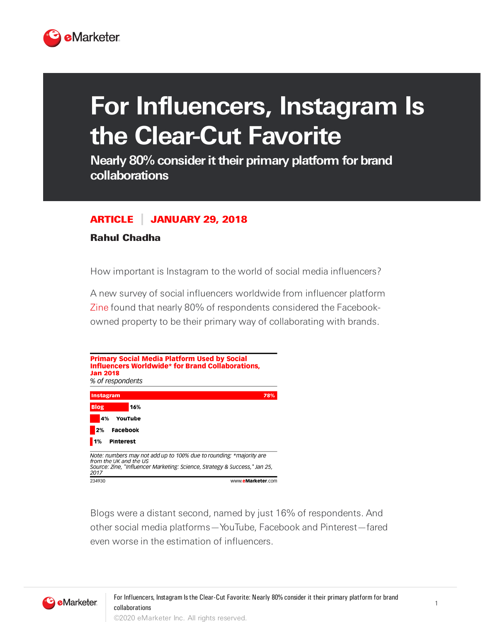

## **For Influencers, Instagram Is the Clear-Cut Favorite**

**Nearly 80% considerittheir primary platform for brand collaborations**

## ARTICLE JANUARY 29, 2018

## Rahul Chadha

How important is Instagram to the world of social media influencers?

A new survey of social influencers worldwide from influencer platform [Zine](https://www.zineme.com/) found that nearly 80% of respondents considered the Facebookowned property to be their primary way of collaborating with brands.



Blogs were a distant second, named by just 16% of respondents. And other social media platforms—YouTube, Facebook and Pinterest—fared even worse in the estimation of influencers.